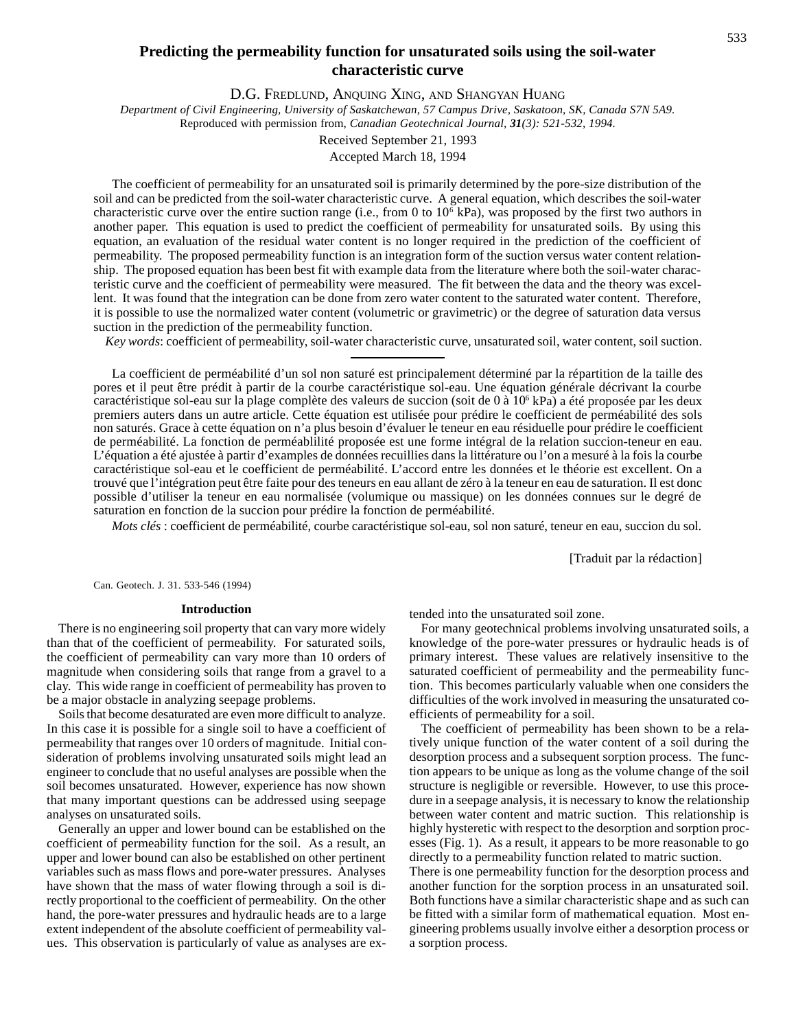# **Predicting the permeability function for unsaturated soils using the soil-water characteristic curve**

D.G. FREDLUND, ANQUING XING, AND SHANGYAN HUANG

*Department of Civil Engineering, University of Saskatchewan, 57 Campus Drive, Saskatoon, SK, Canada S7N 5A9.*

Reproduced with permission from, *Canadian Geotechnical Journal, 31(3): 521-532, 1994.*

Received September 21, 1993

Accepted March 18, 1994

The coefficient of permeability for an unsaturated soil is primarily determined by the pore-size distribution of the soil and can be predicted from the soil-water characteristic curve. A general equation, which describes the soil-water characteristic curve over the entire suction range (i.e., from 0 to  $10^6$  kPa), was proposed by the first two authors in another paper. This equation is used to predict the coefficient of permeability for unsaturated soils. By using this equation, an evaluation of the residual water content is no longer required in the prediction of the coefficient of permeability. The proposed permeability function is an integration form of the suction versus water content relationship. The proposed equation has been best fit with example data from the literature where both the soil-water characteristic curve and the coefficient of permeability were measured. The fit between the data and the theory was excellent. It was found that the integration can be done from zero water content to the saturated water content. Therefore, it is possible to use the normalized water content (volumetric or gravimetric) or the degree of saturation data versus suction in the prediction of the permeability function.

*Key words*: coefficient of permeability, soil-water characteristic curve, unsaturated soil, water content, soil suction.

La coefficient de perméabilité d'un sol non saturé est principalement déterminé par la répartition de la taille des pores et il peut être prédit à partir de la courbe caractéristique sol-eau. Une équation générale décrivant la courbe caractéristique sol-eau sur la plage complète des valeurs de succion (soit de 0 à 10<sup>6</sup> kPa) a été proposée par les deux premiers auters dans un autre article. Cette équation est utilisée pour prédire le coefficient de perméabilité des sols non saturés. Grace à cette équation on n'a plus besoin d'évaluer le teneur en eau résiduelle pour prédire le coefficient de perméabilité. La fonction de perméablilité proposée est une forme intégral de la relation succion-teneur en eau. L'équation a été ajustée à partir d'examples de données recuillies dans la littérature ou l'on a mesuré à la fois la courbe caractéristique sol-eau et le coefficient de perméabilité. L'accord entre les données et le théorie est excellent. On a trouvé que l'intégration peut être faite pour des teneurs en eau allant de zéro à la teneur en eau de saturation. Il est donc possible d'utiliser la teneur en eau normalisée (volumique ou massique) on les données connues sur le degré de saturation en fonction de la succion pour prédire la fonction de perméabilité.

*Mots clés* : coefficient de perméabilité, courbe caractéristique sol-eau, sol non saturé, teneur en eau, succion du sol.

[Traduit par la rédaction]

Can. Geotech. J. 31. 533-546 (1994)

### **Introduction**

There is no engineering soil property that can vary more widely than that of the coefficient of permeability. For saturated soils, the coefficient of permeability can vary more than 10 orders of magnitude when considering soils that range from a gravel to a clay. This wide range in coefficient of permeability has proven to be a major obstacle in analyzing seepage problems.

Soils that become desaturated are even more difficult to analyze. In this case it is possible for a single soil to have a coefficient of permeability that ranges over 10 orders of magnitude. Initial consideration of problems involving unsaturated soils might lead an engineer to conclude that no useful analyses are possible when the soil becomes unsaturated. However, experience has now shown that many important questions can be addressed using seepage analyses on unsaturated soils.

Generally an upper and lower bound can be established on the coefficient of permeability function for the soil. As a result, an upper and lower bound can also be established on other pertinent variables such as mass flows and pore-water pressures. Analyses have shown that the mass of water flowing through a soil is directly proportional to the coefficient of permeability. On the other hand, the pore-water pressures and hydraulic heads are to a large extent independent of the absolute coefficient of permeability values. This observation is particularly of value as analyses are extended into the unsaturated soil zone.

For many geotechnical problems involving unsaturated soils, a knowledge of the pore-water pressures or hydraulic heads is of primary interest. These values are relatively insensitive to the saturated coefficient of permeability and the permeability function. This becomes particularly valuable when one considers the difficulties of the work involved in measuring the unsaturated coefficients of permeability for a soil.

The coefficient of permeability has been shown to be a relatively unique function of the water content of a soil during the desorption process and a subsequent sorption process. The function appears to be unique as long as the volume change of the soil structure is negligible or reversible. However, to use this procedure in a seepage analysis, it is necessary to know the relationship between water content and matric suction. This relationship is highly hysteretic with respect to the desorption and sorption processes (Fig. 1). As a result, it appears to be more reasonable to go directly to a permeability function related to matric suction.

There is one permeability function for the desorption process and another function for the sorption process in an unsaturated soil. Both functions have a similar characteristic shape and as such can be fitted with a similar form of mathematical equation. Most engineering problems usually involve either a desorption process or a sorption process.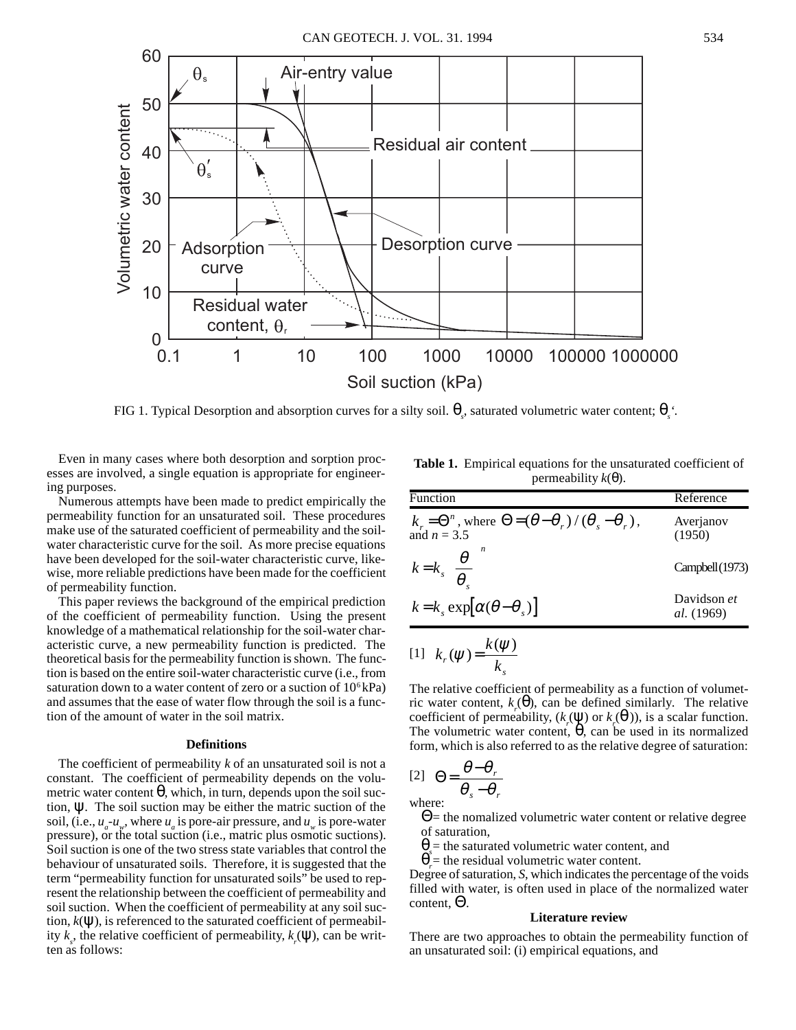

FIG 1. Typical Desorption and absorption curves for a silty soil.  $\theta_s$ , saturated volumetric water content;  $\theta_s$ .

Even in many cases where both desorption and sorption processes are involved, a single equation is appropriate for engineering purposes.

Numerous attempts have been made to predict empirically the permeability function for an unsaturated soil. These procedures make use of the saturated coefficient of permeability and the soilwater characteristic curve for the soil. As more precise equations have been developed for the soil-water characteristic curve, likewise, more reliable predictions have been made for the coefficient of permeability function.

This paper reviews the background of the empirical prediction of the coefficient of permeability function. Using the present knowledge of a mathematical relationship for the soil-water characteristic curve, a new permeability function is predicted. The theoretical basis for the permeability function is shown. The function is based on the entire soil-water characteristic curve (i.e., from saturation down to a water content of zero or a suction of  $10^6$  kPa) and assumes that the ease of water flow through the soil is a function of the amount of water in the soil matrix.

### **Definitions**

The coefficient of permeability *k* of an unsaturated soil is not a constant. The coefficient of permeability depends on the volumetric water content  $\theta$ , which, in turn, depends upon the soil suction, ψ. The soil suction may be either the matric suction of the soil, (i.e.,  $u_a$ - $u_w$ , where  $u_a$  is pore-air pressure, and  $u_w$  is pore-water pressure), or the total suction (i.e., matric plus osmotic suctions). Soil suction is one of the two stress state variables that control the behaviour of unsaturated soils. Therefore, it is suggested that the term "permeability function for unsaturated soils" be used to represent the relationship between the coefficient of permeability and soil suction. When the coefficient of permeability at any soil suction,  $k(\Psi)$ , is referenced to the saturated coefficient of permeability  $k_s$ , the relative coefficient of permeability,  $k_r(\Psi)$ , can be written as follows:

**Table 1.** Empirical equations for the unsaturated coefficient of permeability *k*(θ).

| Function                                                                                           | Reference                        |
|----------------------------------------------------------------------------------------------------|----------------------------------|
| $k_r = \Theta^n$ , where $\Theta = (\theta - \theta_r) / (\theta_s - \theta_r)$ ,<br>and $n = 3.5$ | Averjanov<br>(1950)              |
| $k = k_s \left(\frac{\theta}{\theta_s}\right)^n$                                                   | Campbell (1973)                  |
| $k = k_s \exp[\alpha(\theta - \theta_s)]$                                                          | Davidson et<br><i>al.</i> (1969) |

$$
[1] \quad k_r(\psi) = \frac{k(\psi)}{k_s}
$$

The relative coefficient of permeability as a function of volumetric water content,  $k_r(\theta)$ , can be defined similarly. The relative coefficient of permeability,  $(k_r(\psi))$  or  $k_r(\theta)$ ), is a scalar function. The volumetric water content,  $\theta$ , can be used in its normalized form, which is also referred to as the relative degree of saturation:

$$
\begin{bmatrix} 2 & \Theta = \frac{\theta - \theta_r}{\theta_s - \theta_r} \end{bmatrix}
$$

where:

 $\Theta$ = the nomalized volumetric water content or relative degree of saturation,

- $\theta_s$  = the saturated volumetric water content, and
- $\theta_r$  = the residual volumetric water content.

Degree of saturation, *S*, which indicates the percentage of the voids filled with water, is often used in place of the normalized water content, Θ.

#### **Literature review**

There are two approaches to obtain the permeability function of an unsaturated soil: (i) empirical equations, and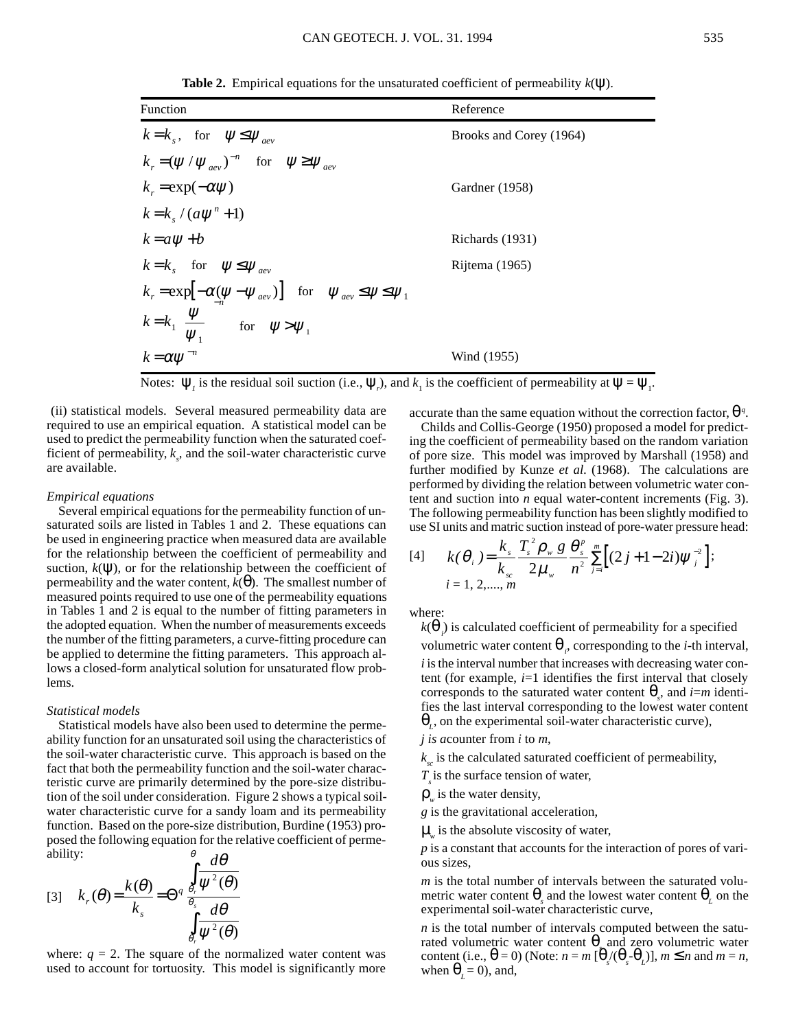**Table 2.** Empirical equations for the unsaturated coefficient of permeability *k*(ψ).

| Function                                                                                    | Reference               |  |  |  |  |
|---------------------------------------------------------------------------------------------|-------------------------|--|--|--|--|
| $k = k_s$ , for $\psi \leq \psi_{\text{new}}$                                               | Brooks and Corey (1964) |  |  |  |  |
| $k_r = (\psi / \psi_{\text{new}})^{-n}$ for $\psi \ge \psi_{\text{new}}$                    |                         |  |  |  |  |
| $k_{r} = \exp(-\alpha \psi)$                                                                | Gardner (1958)          |  |  |  |  |
| $k = k_s / (a \psi^n + 1)$                                                                  |                         |  |  |  |  |
| $k = a \psi + b$                                                                            | Richards (1931)         |  |  |  |  |
| $k = k_s$ for $\psi \leq \psi_{\text{new}}$                                                 | Rijtema (1965)          |  |  |  |  |
| $k_r = \exp[-\alpha(\psi - \psi_{\text{aev}})]$ for $\psi_{\text{aev}} \le \psi \le \psi_1$ |                         |  |  |  |  |
| $k = k_1 \left(\frac{\psi}{\psi_1}\right)^{-n}$ for $\psi > \psi_1$                         |                         |  |  |  |  |
| $k = \alpha w^{-n}$                                                                         | Wind (1955)             |  |  |  |  |

Notes:  $\Psi_i$  is the residual soil suction (i.e.,  $\Psi_i$ ), and  $k_i$  is the coefficient of permeability at  $\Psi = \Psi_i$ .

 (ii) statistical models. Several measured permeability data are required to use an empirical equation. A statistical model can be used to predict the permeability function when the saturated coefficient of permeability,  $k<sub>s</sub>$ , and the soil-water characteristic curve are available.

#### *Empirical equations*

Several empirical equations for the permeability function of unsaturated soils are listed in Tables 1 and 2. These equations can be used in engineering practice when measured data are available for the relationship between the coefficient of permeability and suction,  $k(\Psi)$ , or for the relationship between the coefficient of permeability and the water content,  $k(\theta)$ . The smallest number of measured points required to use one of the permeability equations in Tables 1 and 2 is equal to the number of fitting parameters in the adopted equation. When the number of measurements exceeds the number of the fitting parameters, a curve-fitting procedure can be applied to determine the fitting parameters. This approach allows a closed-form analytical solution for unsaturated flow problems.

#### *Statistical models*

Statistical models have also been used to determine the permeability function for an unsaturated soil using the characteristics of the soil-water characteristic curve. This approach is based on the fact that both the permeability function and the soil-water characteristic curve are primarily determined by the pore-size distribution of the soil under consideration. Figure 2 shows a typical soilwater characteristic curve for a sandy loam and its permeability function. Based on the pore-size distribution, Burdine (1953) proposed the following equation for the relative coefficient of permeability: θ

$$
\begin{array}{ll}\n\text{a} & \int_{\theta}^{\theta} \frac{d\theta}{\sqrt{v^2(\theta)}} \\
\text{[3]} & k_r(\theta) = \frac{k(\theta)}{k_s} = \Theta^q \frac{\int_{\theta}^{\theta} \frac{d\theta}{\sqrt{v^2(\theta)}}}{\int_{\theta_r}^{\theta} \frac{d\theta}{\sqrt{v^2(\theta)}}}\n\end{array}
$$

where:  $q = 2$ . The square of the normalized water content was used to account for tortuosity. This model is significantly more accurate than the same equation without the correction factor,  $\theta$ <sup>*q*</sup>.

Childs and Collis-George (1950) proposed a model for predicting the coefficient of permeability based on the random variation of pore size. This model was improved by Marshall (1958) and further modified by Kunze *et al.* (1968). The calculations are performed by dividing the relation between volumetric water content and suction into *n* equal water-content increments (Fig. 3). The following permeability function has been slightly modified to use SI units and matric suction instead of pore-water pressure head:

[4] 
$$
k(\theta_i) = \frac{k_s}{k_s} \frac{T_s^2 \rho_w g}{2\mu_w} \frac{\theta_s^p}{n^2} \sum_{j=i}^m [(2j+1-2i)\psi_j^{-2}];
$$
  
 $i = 1, 2, ..., m$ 

where:

 $k(\theta)$  is calculated coefficient of permeability for a specified volumetric water content  $\theta$ , corresponding to the *i*-th interval, *i* is the interval number that increases with decreasing water content (for example, *i*=1 identifies the first interval that closely corresponds to the saturated water content  $\theta_s$ , and *i*=*m* identifies the last interval corresponding to the lowest water content  $\theta_L$ , on the experimental soil-water characteristic curve),

*j is a*counter from *i* to *m*,

 $k<sub>s</sub>$  is the calculated saturated coefficient of permeability,

 $T<sub>s</sub>$  is the surface tension of water,

 $\rho_w$  is the water density,

*g* is the gravitational acceleration,

 $\mu_{w}$  is the absolute viscosity of water,

*p* is a constant that accounts for the interaction of pores of various sizes,

*m* is the total number of intervals between the saturated volumetric water content  $\theta_{\textit{s}}$  and the lowest water content  $\theta_{\textit{L}}$  on the experimental soil-water characteristic curve,

*n* is the total number of intervals computed between the saturated volumetric water content  $\theta_{\hat{\xi}}$  and zero volumetric water content (i.e.,  $\theta = 0$ ) (Note:  $n = m \left[ \theta_s / (\theta_s - \theta_l) \right]$ ,  $m \le n$  and  $m = n$ , when  $\theta_{\iota} = 0$ ), and,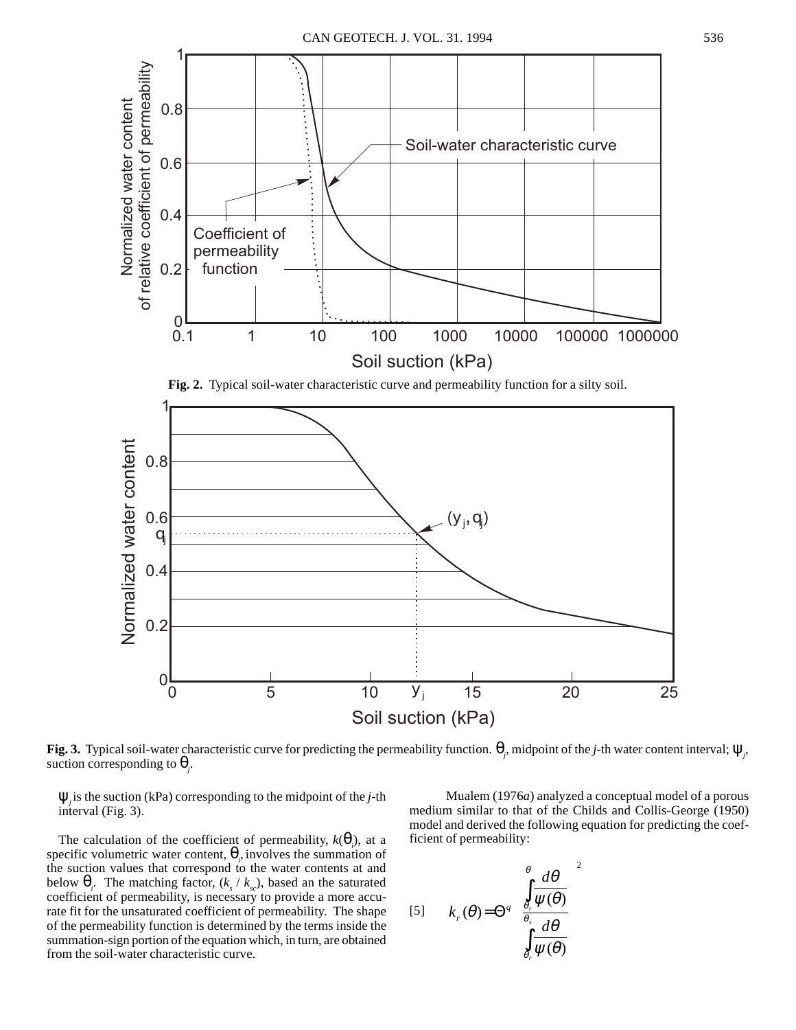

**Fig. 2.** Typical soil-water characteristic curve and permeability function for a silty soil.



**Fig. 3.** Typical soil-water characteristic curve for predicting the permeability function.  $\theta_j$ , midpoint of the *j*-th water content interval;  $\Psi_j$ , suction corresponding to  $\theta_j$ .

ψ*j* is the suction (kPa) corresponding to the midpoint of the *j-*th interval (Fig. 3).

The calculation of the coefficient of permeability,  $k(\theta_i)$ , at a specific volumetric water content,  $\theta_i$ , involves the summation of the suction values that correspond to the water contents at and below  $\theta_i$ . The matching factor,  $(k_s / k_{sc})$ , based an the saturated coefficient of permeability, is necessary to provide a more accurate fit for the unsaturated coefficient of permeability. The shape of the permeability function is determined by the terms inside the summation-sign portion of the equation which, in turn, are obtained from the soil-water characteristic curve.

Mualem (1976*a*) analyzed a conceptual model of a porous medium similar to that of the Childs and Collis-George (1950) model and derived the following equation for predicting the coefficient of permeability:

$$
[5] \qquad k_r(\theta) = \Theta^q \left( \int_{\theta_r}^{\theta} \frac{d\theta}{\psi(\theta)} \right)^2
$$

$$
\left( \int_{\theta_r}^{\theta} \frac{d\theta}{\psi(\theta)} \right)^2
$$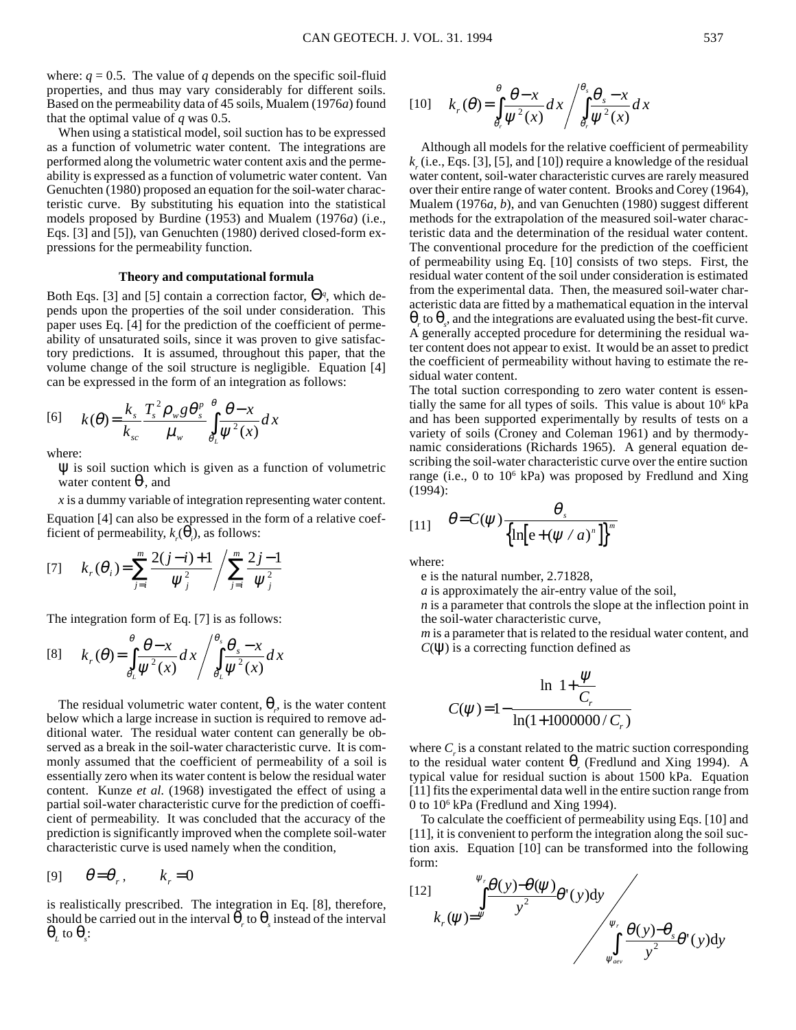where:  $q = 0.5$ . The value of *q* depends on the specific soil-fluid properties, and thus may vary considerably for different soils. Based on the permeability data of 45 soils, Mualem (1976*a*) found that the optimal value of *q* was 0.5.

When using a statistical model, soil suction has to be expressed as a function of volumetric water content. The integrations are performed along the volumetric water content axis and the permeability is expressed as a function of volumetric water content. Van Genuchten (1980) proposed an equation for the soil-water characteristic curve. By substituting his equation into the statistical models proposed by Burdine (1953) and Mualem (1976*a*) (i.e., Eqs. [3] and [5]), van Genuchten (1980) derived closed-form expressions for the permeability function.

## **Theory and computational formula**

Both Eqs. [3] and [5] contain a correction factor, Θ*<sup>q</sup>* , which depends upon the properties of the soil under consideration. This paper uses Eq. [4] for the prediction of the coefficient of permeability of unsaturated soils, since it was proven to give satisfactory predictions. It is assumed, throughout this paper, that the volume change of the soil structure is negligible. Equation [4] can be expressed in the form of an integration as follows:

$$
[6] \qquad k(\theta) = \frac{k_s}{k_{sc}} \frac{T_s^2 \rho_w g \theta_s^p}{\mu_w} \int_{\theta_L}^{\theta} \frac{\theta - x}{\psi^2(x)} dx
$$

where:

 $\Psi$  is soil suction which is given as a function of volumetric water content  $\theta$ , and

*x* is a dummy variable of integration representing water content. Equation [4] can also be expressed in the form of a relative coefficient of permeability,  $k_r(\hat{\theta}_i)$ , as follows:

θ

[7] 
$$
k_r(\theta_i) = \sum_{j=i}^m \frac{2(j-i)+1}{\psi_j^2} / \sum_{j=i}^m \frac{2j-1}{\psi_j^2}
$$

The integration form of Eq. [7] is as follows:

$$
[8] \qquad k_r(\theta) = \int_{\theta_L}^{\theta} \frac{\theta - x}{\psi^2(x)} dx \Bigg/ \int_{\theta_L}^{\theta_s} \frac{\theta_s - x}{\psi^2(x)} dx
$$

The residual volumetric water content,  $\theta_r$ , is the water content below which a large increase in suction is required to remove additional water. The residual water content can generally be observed as a break in the soil-water characteristic curve. It is commonly assumed that the coefficient of permeability of a soil is essentially zero when its water content is below the residual water content. Kunze *et al.* (1968) investigated the effect of using a partial soil-water characteristic curve for the prediction of coefficient of permeability. It was concluded that the accuracy of the prediction is significantly improved when the complete soil-water characteristic curve is used namely when the condition,

$$
[9] \qquad \theta = \theta_r, \qquad k_r = 0
$$

is realistically prescribed. The integration in Eq. [8], therefore, should be carried out in the interval  $\tilde{\theta}_r$  to  $\theta_s$  instead of the interval  $\theta$ <sup>*L*</sup> to  $\theta$ <sub>*s*</sub>:

$$
[10] \quad k_r(\theta) = \int_{\theta_r}^{\theta} \frac{\theta - x}{\psi^2(x)} dx \bigg/ \int_{\theta_r}^{\theta_s} \frac{\theta_s - x}{\psi^2(x)} dx
$$

Although all models for the relative coefficient of permeability  $k_r$  (i.e., Eqs. [3], [5], and [10]) require a knowledge of the residual water content, soil-water characteristic curves are rarely measured over their entire range of water content. Brooks and Corey (1964), Mualem (1976*a*, *b*), and van Genuchten (1980) suggest different methods for the extrapolation of the measured soil-water characteristic data and the determination of the residual water content. The conventional procedure for the prediction of the coefficient of permeability using Eq. [10] consists of two steps. First, the residual water content of the soil under consideration is estimated from the experimental data. Then, the measured soil-water characteristic data are fitted by a mathematical equation in the interval  $\theta_r$  to  $\theta_s$ , and the integrations are evaluated using the best-fit curve. A generally accepted procedure for determining the residual water content does not appear to exist. It would be an asset to predict the coefficient of permeability without having to estimate the residual water content.

The total suction corresponding to zero water content is essentially the same for all types of soils. This value is about  $10<sup>6</sup>$  kPa and has been supported experimentally by results of tests on a variety of soils (Croney and Coleman 1961) and by thermodynamic considerations (Richards 1965). A general equation describing the soil-water characteristic curve over the entire suction range (i.e., 0 to 10<sup>6</sup> kPa) was proposed by Fredlund and Xing (1994):

$$
[11] \quad \theta = C(\psi) \frac{\theta_s}{\left\{\ln\left[e + (\psi / a)^n\right]\right\}^m}
$$

where:

e is the natural number, 2.71828,

*a* is approximately the air-entry value of the soil,

*n* is a parameter that controls the slope at the inflection point in the soil-water characteristic curve,

*m* is a parameter that is related to the residual water content, and  $C(\Psi)$  is a correcting function defined as

$$
C(\psi) = 1 - \frac{\ln\left(1 + \frac{\psi}{C_r}\right)}{\ln(1 + 1000000/C_r)}
$$

where  $C_i$  is a constant related to the matric suction corresponding to the residual water content  $\theta_r$  (Fredlund and Xing 1994). A typical value for residual suction is about 1500 kPa. Equation [11] fits the experimental data well in the entire suction range from 0 to 10<sup>6</sup> kPa (Fredlund and Xing 1994).

To calculate the coefficient of permeability using Eqs. [10] and [11], it is convenient to perform the integration along the soil suction axis. Equation [10] can be transformed into the following form:

[12]
$$
\int_{k_r(\psi)=\psi}^{\psi_f} \frac{\theta(y)-\theta(\psi)}{y^2} \theta'(y) dy
$$
\n
$$
\int_{\psi_{acc}}^{\psi_f} \frac{\theta(y)-\theta_s}{y^2} \theta'(y) dy
$$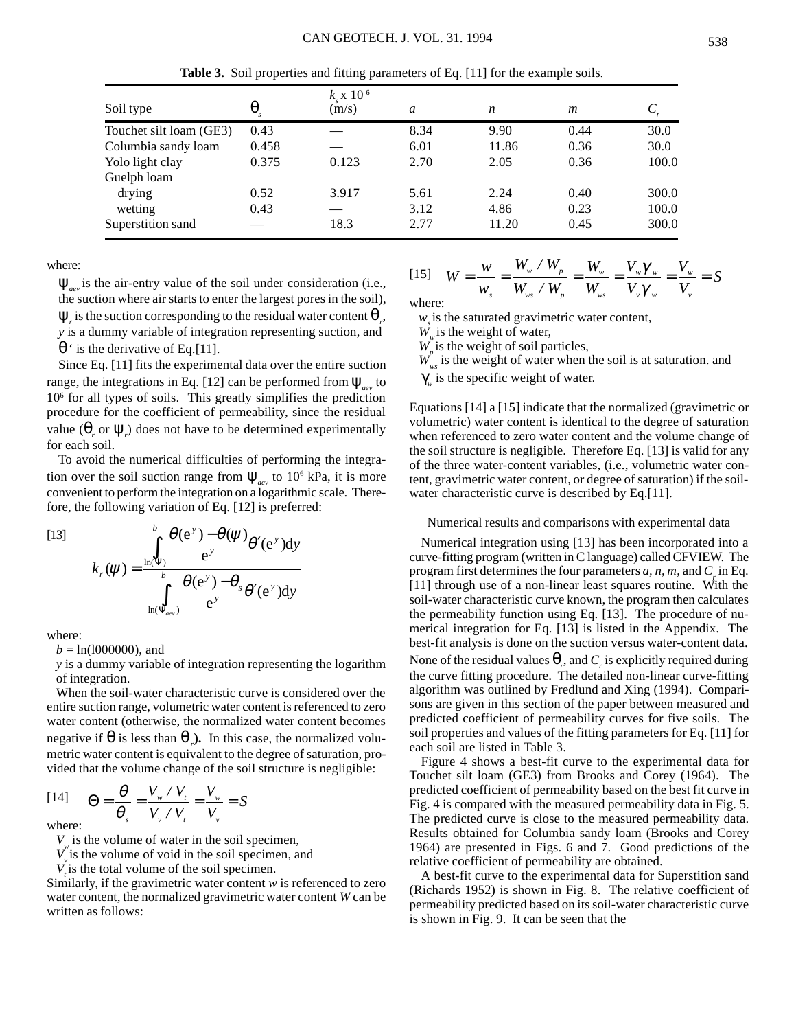**Table 3.** Soil properties and fitting parameters of Eq. [11] for the example soils.

| Soil type               | θ     | $k_{\rm A}$ x 10 <sup>-6</sup><br>(m/s) | a    | n     | m    | C     |
|-------------------------|-------|-----------------------------------------|------|-------|------|-------|
| Touchet silt loam (GE3) | 0.43  |                                         | 8.34 | 9.90  | 0.44 | 30.0  |
| Columbia sandy loam     | 0.458 |                                         | 6.01 | 11.86 | 0.36 | 30.0  |
| Yolo light clay         | 0.375 | 0.123                                   | 2.70 | 2.05  | 0.36 | 100.0 |
| Guelph loam             |       |                                         |      |       |      |       |
| drying                  | 0.52  | 3.917                                   | 5.61 | 2.24  | 0.40 | 300.0 |
| wetting                 | 0.43  |                                         | 3.12 | 4.86  | 0.23 | 100.0 |
| Superstition sand       |       | 18.3                                    | 2.77 | 11.20 | 0.45 | 300.0 |

where:

 $\Psi_{\text{env}}$  is the air-entry value of the soil under consideration (i.e., the suction where air starts to enter the largest pores in the soil),  $\Psi_r$  is the suction corresponding to the residual water content  $\theta_r$ , *y* is a dummy variable of integration representing suction, and  $\theta$  ' is the derivative of Eq.[11].

Since Eq. [11] fits the experimental data over the entire suction range, the integrations in Eq. [12] can be performed from ψ*aev* to 10<sup>6</sup> for all types of soils. This greatly simplifies the prediction procedure for the coefficient of permeability, since the residual value  $(\theta_r$  or  $\psi_r$ ) does not have to be determined experimentally for each soil.

To avoid the numerical difficulties of performing the integration over the soil suction range from  $\Psi_{\text{new}}$  to 10<sup>6</sup> kPa, it is more convenient to perform the integration on a logarithmic scale. Therefore, the following variation of Eq. [12] is preferred:

[13]
$$
k_r(\psi) = \frac{\int_{\ln(\Psi)}^{b} \frac{\theta(e^y) - \theta(\psi)}{e^y} \theta'(e^y) dy}{\int_{\ln(\Psi_{\text{new}})}^{b} \frac{\theta(e^y) - \theta_s}{e^y} \theta'(e^y) dy}
$$

where:

 $b = ln(1000000)$ , and

*y* is a dummy variable of integration representing the logarithm of integration.

When the soil-water characteristic curve is considered over the entire suction range, volumetric water content is referenced to zero water content (otherwise, the normalized water content becomes negative if  $\theta$  is less than  $\theta$   $\theta$ . In this case, the normalized volumetric water content is equivalent to the degree of saturation, provided that the volume change of the soil structure is negligible:

$$
\begin{bmatrix} 14 & \Theta = \frac{\theta}{\theta_s} = \frac{V_w / V_t}{V_v / V_t} = \frac{V_w}{V_v} = S \end{bmatrix}
$$

where:

*V* is the volume of water in the soil specimen,

 $V_{\mu}$  is the volume of void in the soil specimen, and

 $V<sub>t</sub>$  is the total volume of the soil specimen.

Similarly, if the gravimetric water content *w* is referenced to zero water content, the normalized gravimetric water content *W* can be written as follows:

$$
\begin{aligned} \text{[15]} \quad W &= \frac{W}{W_s} = \frac{W_w \, / \, W_p}{W_{ws} \, / \, W_p} = \frac{W_w}{W_{ws}} = \frac{V_w \, \gamma_w}{V_v \, \gamma_w} = \frac{V_w}{V_v} = S\\ \text{where:} \end{aligned}
$$

 $w<sub>s</sub>$  is the saturated gravimetric water content,

*W* is the weight of water,

 $W_{n}$  is the weight of soil particles,

*W<sub>ws</sub>* is the weight of water when the soil is at saturation. and

 $\gamma_w$  is the specific weight of water.

Equations [14] a [15] indicate that the normalized (gravimetric or volumetric) water content is identical to the degree of saturation when referenced to zero water content and the volume change of the soil structure is negligible. Therefore Eq. [13] is valid for any of the three water-content variables, (i.e., volumetric water content, gravimetric water content, or degree of saturation) if the soilwater characteristic curve is described by Eq. [11].

Numerical results and comparisons with experimental data

Numerical integration using [13] has been incorporated into a curve-fitting program (written in C language) called CFVIEW. The program first determines the four parameters  $a$ ,  $n$ ,  $m$ , and  $C_r$  in Eq. [11] through use of a non-linear least squares routine. With the soil-water characteristic curve known, the program then calculates the permeability function using Eq. [13]. The procedure of numerical integration for Eq. [13] is listed in the Appendix. The best-fit analysis is done on the suction versus water-content data. None of the residual values  $\theta_{r}$ , and  $C_{r}$  is explicitly required during the curve fitting procedure. The detailed non-linear curve-fitting algorithm was outlined by Fredlund and Xing (1994). Comparisons are given in this section of the paper between measured and predicted coefficient of permeability curves for five soils. The soil properties and values of the fitting parameters for Eq. [11] for each soil are listed in Table 3.

Figure 4 shows a best-fit curve to the experimental data for Touchet silt loam (GE3) from Brooks and Corey (1964). The predicted coefficient of permeability based on the best fit curve in Fig. 4 is compared with the measured permeability data in Fig. 5. The predicted curve is close to the measured permeability data. Results obtained for Columbia sandy loam (Brooks and Corey 1964) are presented in Figs. 6 and 7. Good predictions of the relative coefficient of permeability are obtained.

A best-fit curve to the experimental data for Superstition sand (Richards 1952) is shown in Fig. 8. The relative coefficient of permeability predicted based on its soil-water characteristic curve is shown in Fig. 9. It can be seen that the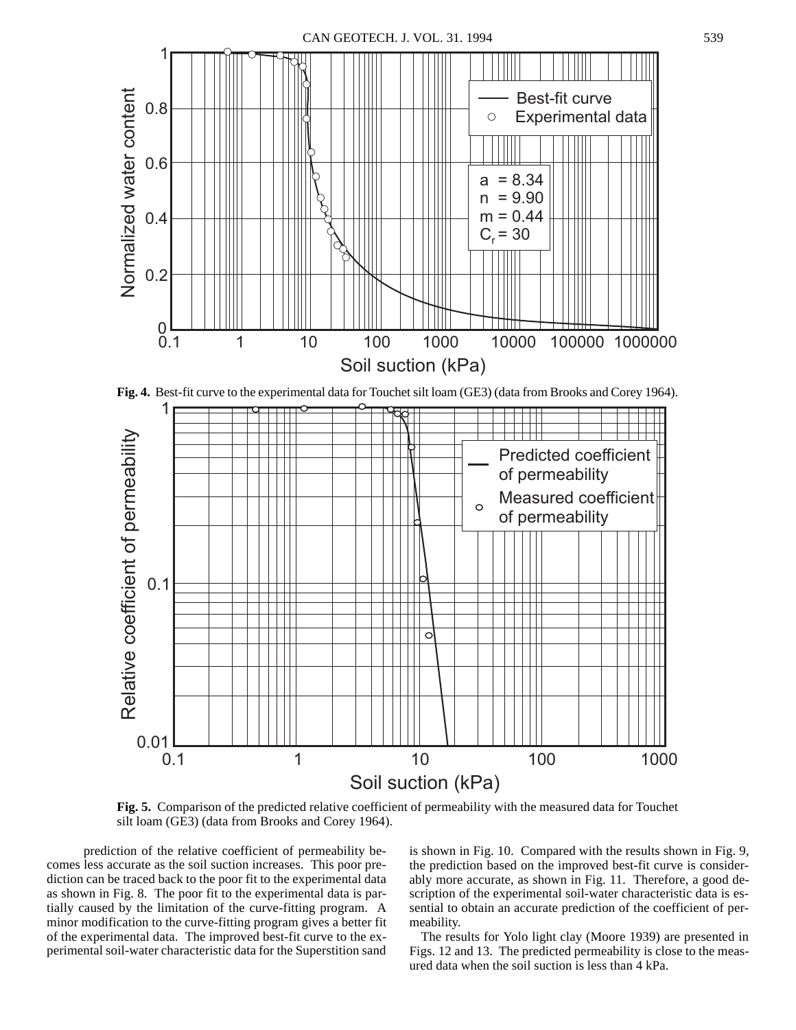

**Fig. 4.** Best-fit curve to the experimental data for Touchet silt loam (GE3) (data from Brooks and Corey 1964).



**Fig. 5.** Comparison of the predicted relative coefficient of permeability with the measured data for Touchet silt loam (GE3) (data from Brooks and Corey 1964).

prediction of the relative coefficient of permeability becomes less accurate as the soil suction increases. This poor prediction can be traced back to the poor fit to the experimental data as shown in Fig. 8. The poor fit to the experimental data is partially caused by the limitation of the curve-fitting program. A minor modification to the curve-fitting program gives a better fit of the experimental data. The improved best-fit curve to the experimental soil-water characteristic data for the Superstition sand

is shown in Fig. 10. Compared with the results shown in Fig. 9, the prediction based on the improved best-fit curve is considerably more accurate, as shown in Fig. 11. Therefore, a good description of the experimental soil-water characteristic data is essential to obtain an accurate prediction of the coefficient of permeability.

The results for Yolo light clay (Moore 1939) are presented in Figs. 12 and 13. The predicted permeability is close to the measured data when the soil suction is less than 4 kPa.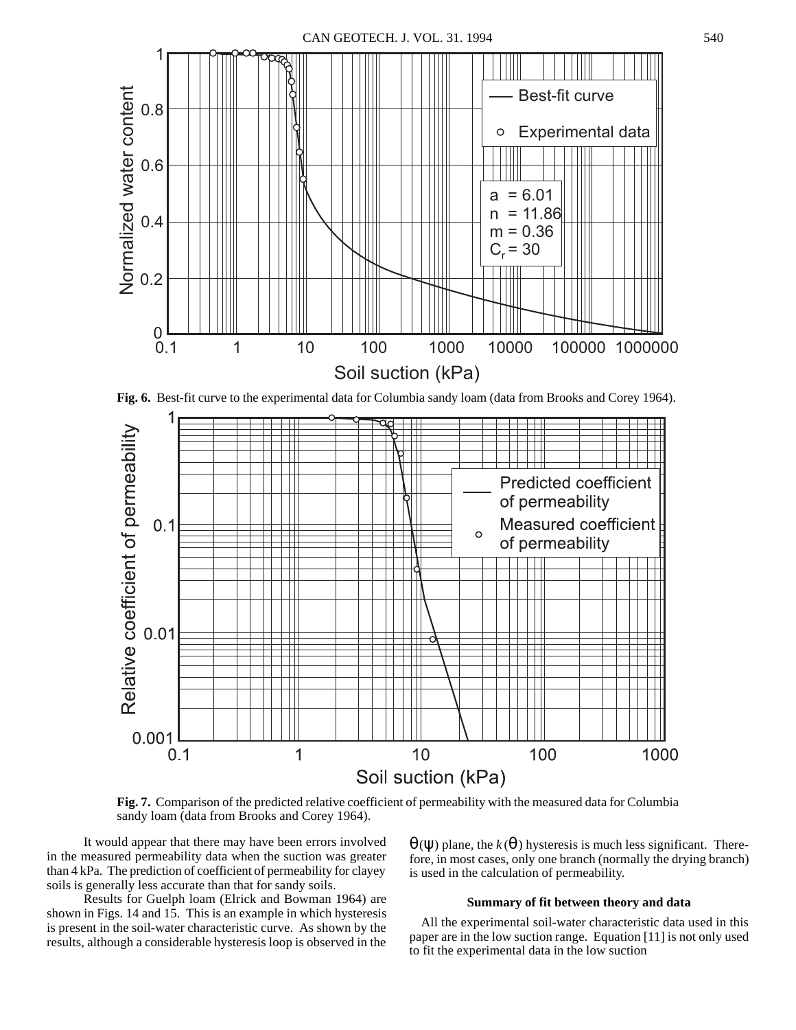

**Fig. 6.** Best-fit curve to the experimental data for Columbia sandy loam (data from Brooks and Corey 1964).



**Fig. 7.** Comparison of the predicted relative coefficient of permeability with the measured data for Columbia sandy loam (data from Brooks and Corey 1964).

It would appear that there may have been errors involved in the measured permeability data when the suction was greater than 4 kPa. The prediction of coefficient of permeability for clayey soils is generally less accurate than that for sandy soils.

 $\theta(\Psi)$  plane, the  $k(\theta)$  hysteresis is much less significant. Therefore, in most cases, only one branch (normally the drying branch) is used in the calculation of permeability.

Results for Guelph loam (Elrick and Bowman 1964) are shown in Figs. 14 and 15. This is an example in which hysteresis is present in the soil-water characteristic curve. As shown by the results, although a considerable hysteresis loop is observed in the

## **Summary of fit between theory and data**

All the experimental soil-water characteristic data used in this paper are in the low suction range. Equation [11] is not only used to fit the experimental data in the low suction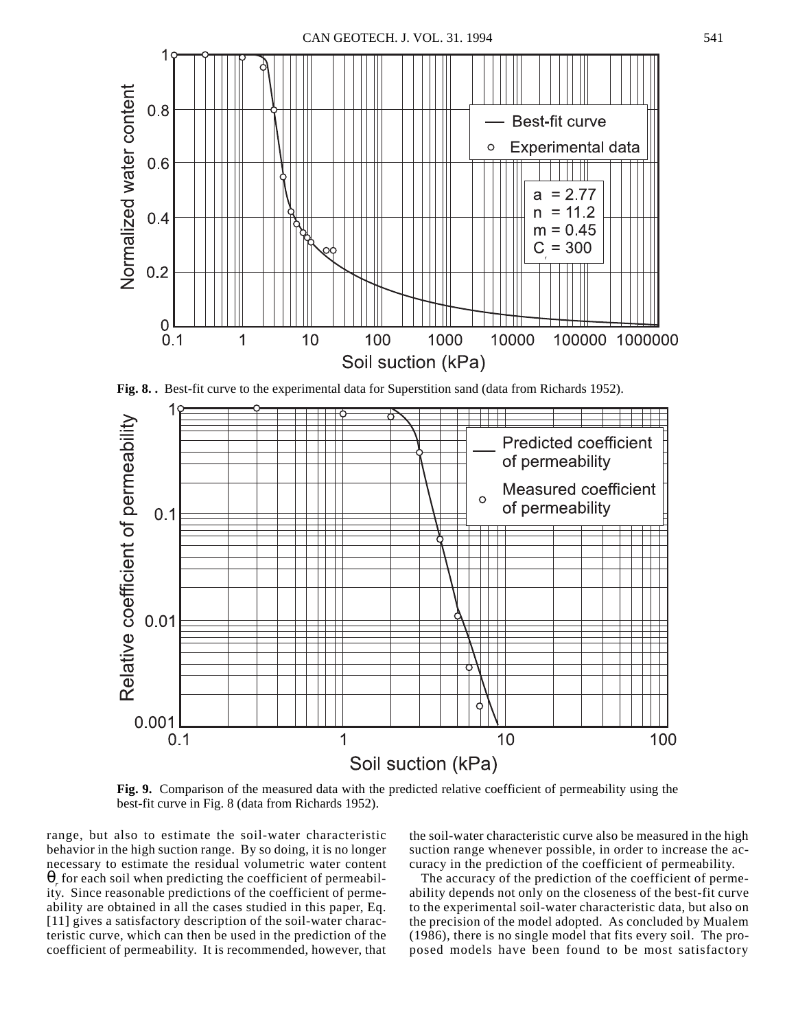

**Fig. 8. .** Best-fit curve to the experimental data for Superstition sand (data from Richards 1952).



**Fig. 9.** Comparison of the measured data with the predicted relative coefficient of permeability using the best-fit curve in Fig. 8 (data from Richards 1952).

range, but also to estimate the soil-water characteristic behavior in the high suction range. By so doing, it is no longer necessary to estimate the residual volumetric water content  $\theta_r$  for each soil when predicting the coefficient of permeability. Since reasonable predictions of the coefficient of permeability are obtained in all the cases studied in this paper, Eq. [11] gives a satisfactory description of the soil-water characteristic curve, which can then be used in the prediction of the coefficient of permeability. It is recommended, however, that

the soil-water characteristic curve also be measured in the high suction range whenever possible, in order to increase the accuracy in the prediction of the coefficient of permeability.

The accuracy of the prediction of the coefficient of permeability depends not only on the closeness of the best-fit curve to the experimental soil-water characteristic data, but also on the precision of the model adopted. As concluded by Mualem (1986), there is no single model that fits every soil. The proposed models have been found to be most satisfactory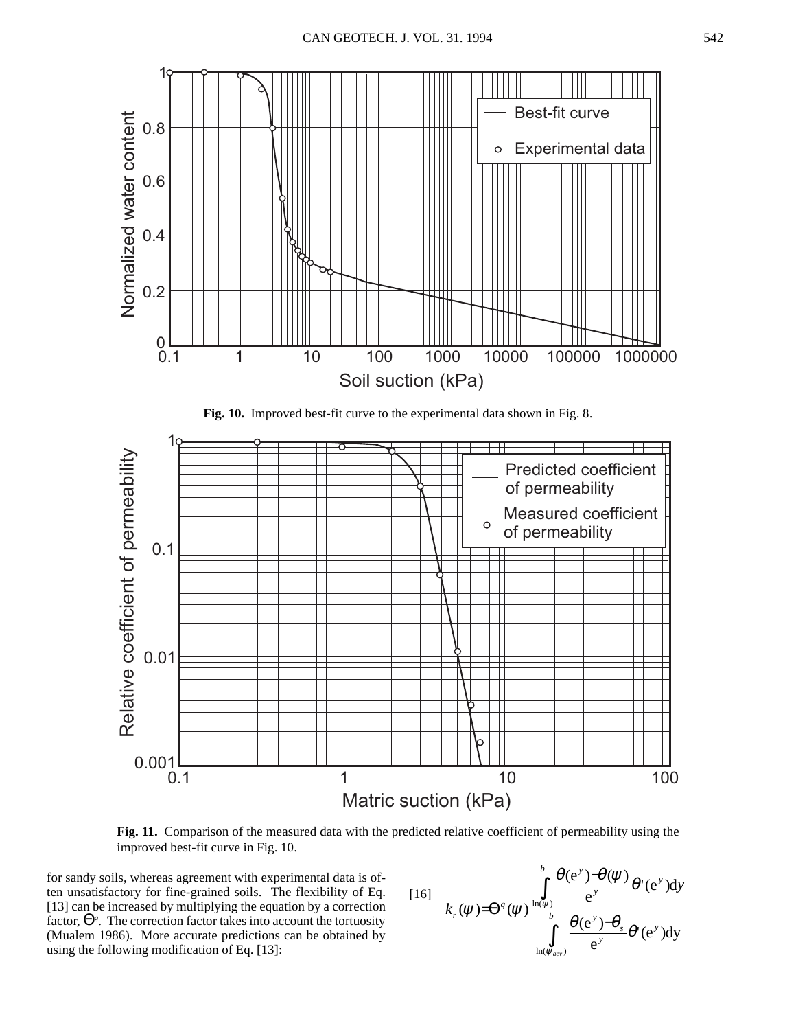

**Fig. 10.** Improved best-fit curve to the experimental data shown in Fig. 8.



**Fig. 11.** Comparison of the measured data with the predicted relative coefficient of permeability using the improved best-fit curve in Fig. 10.

for sandy soils, whereas agreement with experimental data is often unsatisfactory for fine-grained soils. The flexibility of Eq. [13] can be increased by multiplying the equation by a correction factor, Θ*<sup>q</sup>* . The correction factor takes into account the tortuosity (Mualem 1986). More accurate predictions can be obtained by using the following modification of Eq. [13]:

[16]  

$$
k_r(\psi) = \Theta^q(\psi) \frac{\int_{\ln(\psi)}^b \frac{\theta(e^y) - \theta(\psi)}{e^y} \theta'(e^y) dy}{\int_{\ln(\psi_{\text{new}})}^b \frac{\theta(e^y) - \theta_s}{e^y} \theta'(e^y) dy}
$$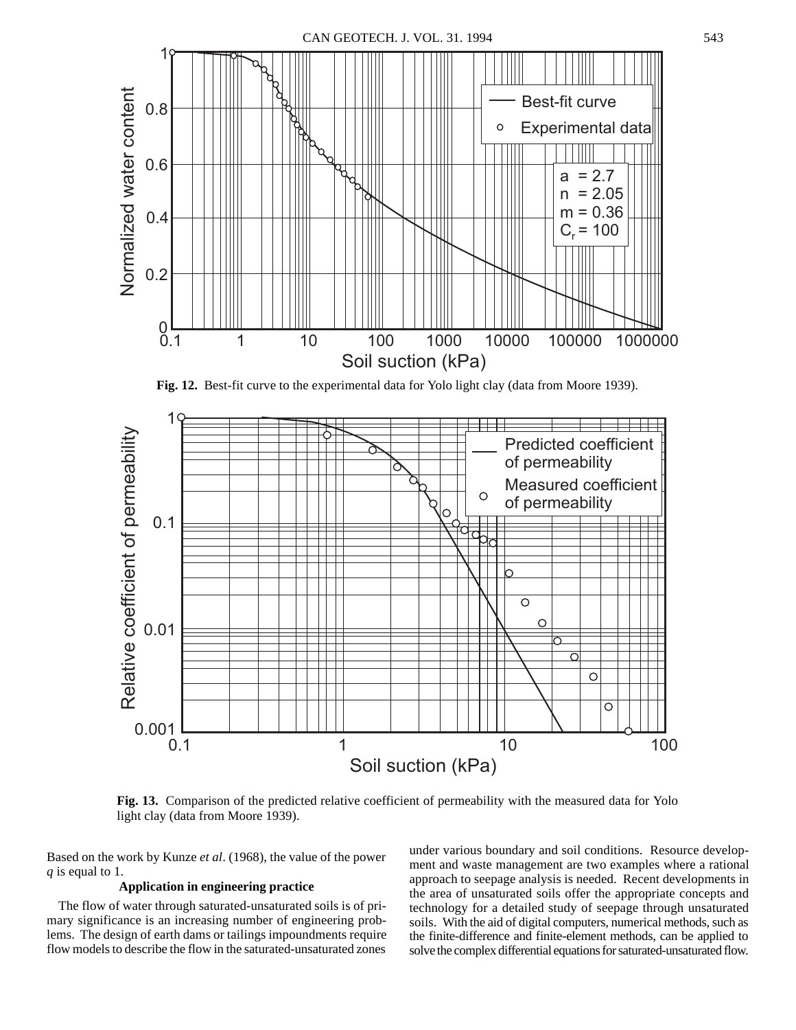

**Fig. 12.** Best-fit curve to the experimental data for Yolo light clay (data from Moore 1939).



**Fig. 13.** Comparison of the predicted relative coefficient of permeability with the measured data for Yolo light clay (data from Moore 1939).

Based on the work by Kunze *et al*. (1968), the value of the power *q* is equal to 1.

## **Application in engineering practice**

The flow of water through saturated-unsaturated soils is of primary significance is an increasing number of engineering problems. The design of earth dams or tailings impoundments require flow models to describe the flow in the saturated-unsaturated zones

under various boundary and soil conditions. Resource development and waste management are two examples where a rational approach to seepage analysis is needed. Recent developments in the area of unsaturated soils offer the appropriate concepts and technology for a detailed study of seepage through unsaturated soils. With the aid of digital computers, numerical methods, such as the finite-difference and finite-element methods, can be applied to solve the complex differential equations for saturated-unsaturated flow.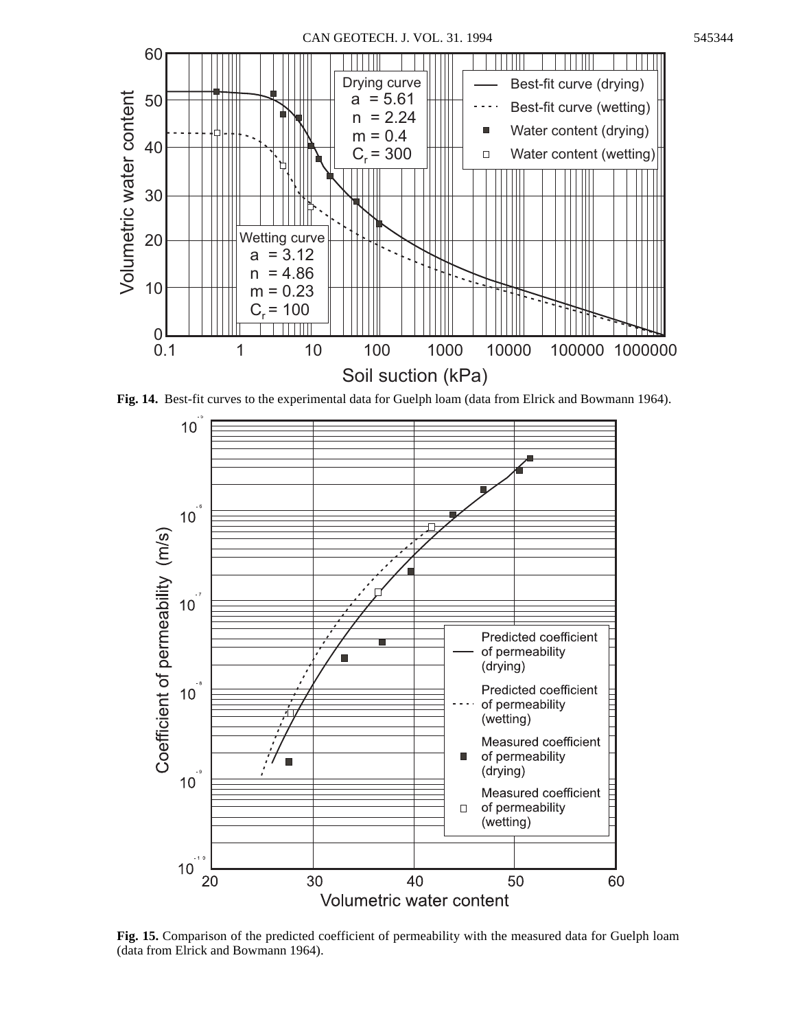

**Fig. 14.** Best-fit curves to the experimental data for Guelph loam (data from Elrick and Bowmann 1964).



**Fig. 15.** Comparison of the predicted coefficient of permeability with the measured data for Guelph loam (data from Elrick and Bowmann 1964).

## 545344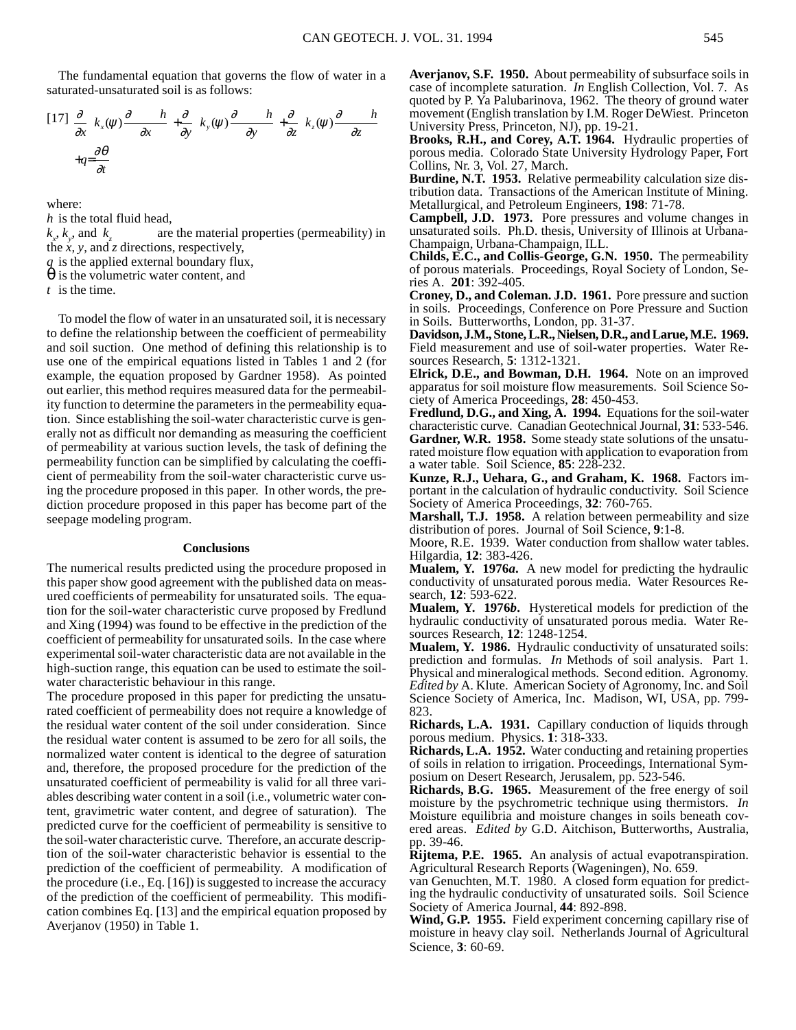The fundamental equation that governs the flow of water in a

saturated-unsaturated soil is as follows:

$$
\begin{aligned} \left[17\right] \frac{\partial}{\partial x} \left(k_x(\psi) \frac{\partial}{\partial x} - h\right) \frac{\partial}{\partial y} \left(k_y(\psi) \frac{\partial}{\partial y} - h\right) \frac{\partial}{\partial z} \left(k_z(\psi) \frac{\partial}{\partial z} - h\right) \\ + q = \frac{\partial \theta}{\partial t} \end{aligned}
$$

where:

*h* is the total fluid head,

 $k_{\rm x}$ ,  $k_{\rm y}$ are the material properties (permeability) in

the *x*, *y*, and *z* directions, respectively,

*q* is the applied external boundary flux,

 $\theta$  is the volumetric water content, and

*t* is the time.

To model the flow of water in an unsaturated soil, it is necessary to define the relationship between the coefficient of permeability and soil suction. One method of defining this relationship is to use one of the empirical equations listed in Tables 1 and 2 (for example, the equation proposed by Gardner 1958). As pointed out earlier, this method requires measured data for the permeability function to determine the parameters in the permeability equation. Since establishing the soil-water characteristic curve is generally not as difficult nor demanding as measuring the coefficient of permeability at various suction levels, the task of defining the permeability function can be simplified by calculating the coefficient of permeability from the soil-water characteristic curve using the procedure proposed in this paper. In other words, the prediction procedure proposed in this paper has become part of the seepage modeling program.

### **Conclusions**

The numerical results predicted using the procedure proposed in this paper show good agreement with the published data on measured coefficients of permeability for unsaturated soils. The equation for the soil-water characteristic curve proposed by Fredlund and Xing (1994) was found to be effective in the prediction of the coefficient of permeability for unsaturated soils. In the case where experimental soil-water characteristic data are not available in the high-suction range, this equation can be used to estimate the soilwater characteristic behaviour in this range.

The procedure proposed in this paper for predicting the unsaturated coefficient of permeability does not require a knowledge of the residual water content of the soil under consideration. Since the residual water content is assumed to be zero for all soils, the normalized water content is identical to the degree of saturation and, therefore, the proposed procedure for the prediction of the unsaturated coefficient of permeability is valid for all three variables describing water content in a soil (i.e., volumetric water content, gravimetric water content, and degree of saturation). The predicted curve for the coefficient of permeability is sensitive to the soil-water characteristic curve. Therefore, an accurate description of the soil-water characteristic behavior is essential to the prediction of the coefficient of permeability. A modification of the procedure (i.e., Eq. [16]) is suggested to increase the accuracy of the prediction of the coefficient of permeability. This modification combines Eq. [13] and the empirical equation proposed by Averjanov (1950) in Table 1.

**Averjanov, S.F. 1950.** About permeability of subsurface soils in case of incomplete saturation. *In* English Collection, Vol. 7. As quoted by P. Ya Palubarinova, 1962. The theory of ground water movement (English translation by I.M. Roger DeWiest. Princeton University Press, Princeton, NJ), pp. 19-21.

**Brooks, R.H., and Corey, A.T. 1964.** Hydraulic properties of porous media. Colorado State University Hydrology Paper, Fort Collins, Nr. 3, Vol. 27, March.

**Burdine, N.T. 1953.** Relative permeability calculation size distribution data. Transactions of the American Institute of Mining. Metallurgical, and Petroleum Engineers, **198**: 71-78.

**Campbell, J.D. 1973.** Pore pressures and volume changes in unsaturated soils. Ph.D. thesis, University of Illinois at Urbana-Champaign, Urbana-Champaign, ILL.

**Childs, E.C., and Collis-George, G.N. 1950.** The permeability of porous materials. Proceedings, Royal Society of London, Series A. **201**: 392-405.

**Croney, D., and Coleman. J.D. 1961.** Pore pressure and suction in soils. Proceedings, Conference on Pore Pressure and Suction in Soils. Butterworths, London, pp. 31-37.

**Davidson, J.M., Stone, L.R., Nielsen, D.R., and Larue, M.E. 1969.** Field measurement and use of soil-water properties. Water Resources Research, **5**: 1312-1321.

**Elrick, D.E., and Bowman, D.H. 1964.** Note on an improved apparatus for soil moisture flow measurements. Soil Science Society of America Proceedings, **28**: 450-453.

**Fredlund, D.G., and Xing, A. 1994.** Equations for the soil-water characteristic curve. Canadian Geotechnical Journal, **31**: 533-546. **Gardner, W.R. 1958.** Some steady state solutions of the unsaturated moisture flow equation with application to evaporation from a water table. Soil Science, **85**: 228-232.

**Kunze, R.J., Uehara, G., and Graham, K. 1968.** Factors important in the calculation of hydraulic conductivity. Soil Science Society of America Proceedings, **32**: 760-765.

**Marshall, T.J. 1958.** A relation between permeability and size distribution of pores. Journal of Soil Science, **9**:1-8.

Moore, R.E. 1939. Water conduction from shallow water tables. Hilgardia, **12**: 383-426.

**Mualem, Y. 1976***a***.** A new model for predicting the hydraulic conductivity of unsaturated porous media. Water Resources Research, **12**: 593-622.

**Mualem, Y. 1976***b***.** Hysteretical models for prediction of the hydraulic conductivity of unsaturated porous media. Water Resources Research, **12**: 1248-1254.

**Mualem, Y. 1986.** Hydraulic conductivity of unsaturated soils: prediction and formulas. *In* Methods of soil analysis. Part 1. Physical and mineralogical methods. Second edition. Agronomy. *Edited by* A. Klute. American Society of Agronomy, Inc. and Soil Science Society of America, Inc. Madison, WI, USA, pp. 799- 823.

**Richards, L.A. 1931.** Capillary conduction of liquids through porous medium. Physics. **1**: 318-333.

**Richards, L.A. 1952.** Water conducting and retaining properties of soils in relation to irrigation. Proceedings, International Symposium on Desert Research, Jerusalem, pp. 523-546.

**Richards, B.G. 1965.** Measurement of the free energy of soil moisture by the psychrometric technique using thermistors. *In* Moisture equilibria and moisture changes in soils beneath covered areas. *Edited by* G.D. Aitchison, Butterworths, Australia, pp. 39-46.

**Rijtema, P.E. 1965.** An analysis of actual evapotranspiration. Agricultural Research Reports (Wageningen), No. 659.

van Genuchten, M.T. 1980. A closed form equation for predicting the hydraulic conductivity of unsaturated soils. Soil Science Society of America Journal, **44**: 892-898.

**Wind, G.P. 1955.** Field experiment concerning capillary rise of moisture in heavy clay soil. Netherlands Journal of Agricultural Science, **3**: 60-69.